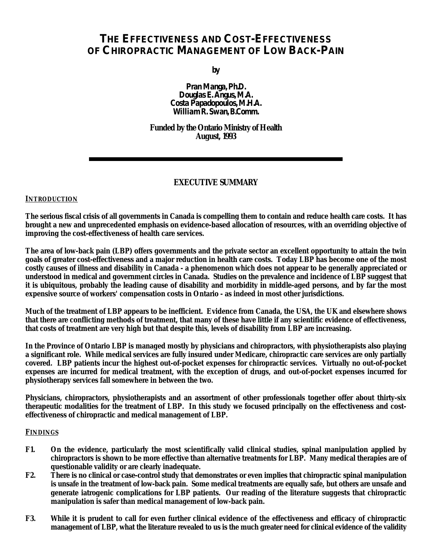# **THE EFFECTIVENESS AND COST-EFFECTIVENESS OF CHIROPRACTIC MANAGEMENT OF LOW BACK-PAIN**

*by*

*Pran Manga, Ph.D. Douglas E. Angus, M.A. Costa Papadopoulos, M.H.A. William R. Swan, B.Comm.*

**Funded by the Ontario Ministry of Health August, 1993**

## **EXECUTIVE SUMMARY**

#### **INTRODUCTION**

**The serious fiscal crisis of all governments in Canada is compelling them to contain and reduce health care costs. It has brought a new and unprecedented emphasis on evidence-based allocation of resources, with an overriding objective of improving the cost-effectiveness of health care services.**

**The area of low-back pain (LBP) offers governments and the private sector an excellent opportunity to attain the twin goals of greater cost-effectiveness and a major reduction in health care costs. Today LBP has become one of the most costly causes of illness and disability in Canada - a phenomenon which does not appear to be generally appreciated or understood in medical and government circles in Canada. Studies on the prevalence and incidence of LBP suggest that it is ubiquitous, probably the leading cause of disability and morbidity in middle-aged persons, and by far the most expensive source of workers' compensation costs in Ontario - as indeed in most other jurisdictions.** 

**Much of the treatment of LBP appears to be inefficient. Evidence from Canada, the USA, the UK and elsewhere shows that there are conflicting methods of treatment, that many of these have little if any scientific evidence of effectiveness, that costs of treatment are very high but that despite this, levels of disability from LBP are increasing.**

**In the Province of Ontario LBP is managed mostly by physicians and chiropractors, with physiotherapists also playing a significant role. While medical services are fully insured under Medicare, chiropractic care services are only partially covered. LBP patients incur the highest out-of-pocket expenses for chiropractic services. Virtually no out-of-pocket expenses are incurred for medical treatment, with the exception of drugs, and out-of-pocket expenses incurred for physiotherapy services fall somewhere in between the two.**

**Physicians, chiropractors, physiotherapists and an assortment of other professionals together offer about thirty-six therapeutic modalities for the treatment of LBP. In this study we focused principally on the effectiveness and costeffectiveness of chiropractic and medical management of LBP.**

#### **FINDINGS**

- **F1. On the evidence, particularly the most scientifically valid clinical studies, spinal manipulation applied by chiropractors is shown to be more effective than alternative treatments for LBP. Many medical therapies are of questionable validity or are clearly inadequate.**
- **F2. There is no clinical or case-control study that demonstrates or even implies that chiropractic spinal manipulation is unsafe in the treatment of low-back pain. Some medical treatments are equally safe, but others are unsafe and generate iatrogenic complications for LBP patients. Our reading of the literature suggests that chiropractic manipulation is safer than medical management of low-back pain.**
- **F3. While it is prudent to call for even further clinical evidence of the effectiveness and efficacy of chiropractic management of LBP, what the literature revealed to us is the much greater need for clinical evidence of the validity**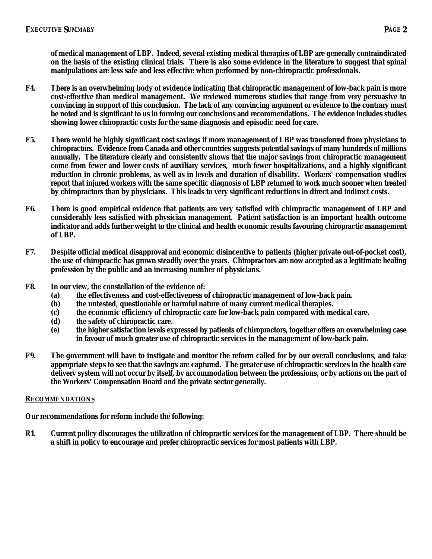**of medical management of LBP. Indeed, several existing medical therapies of LBP are generally contraindicated on the basis of the existing clinical trials. There is also some evidence in the literature to suggest that spinal manipulations are less safe and less effective when performed by non-chiropractic professionals.**

- **F4. There is an overwhelming body of evidence indicating that chiropractic management of low-back pain is more cost-effective than medical management. We reviewed numerous studies that range from very persuasive to convincing in support of this conclusion. The lack of any convincing argument or evidence to the contrary must be noted and is significant to us in forming our conclusions and recommendations. The evidence includes studies showing lower chiropractic costs for the same diagnosis and episodic need for care.**
- **F5. There would be highly significant cost savings if more management of LBP was transferred from physicians to chiropractors. Evidence from Canada and other countries suggests potential savings of many hundreds of millions annually. The literature clearly and consistently shows that the major savings from chiropractic management come from fewer and lower costs of auxiliary services, much fewer hospitalizations, and a highly significant reduction in chronic problems, as well as in levels and duration of disability. Workers' compensation studies report that injured workers with the same specific diagnosis of LBP returned to work much sooner when treated by chiropractors than by physicians. This leads to very significant reductions in direct and indirect costs.**
- **F6. There is good empirical evidence that patients are very satisfied with chiropractic management of LBP and considerably less satisfied with physician management. Patient satisfaction is an important health outcome indicator and adds further weight to the clinical and health economic results favouring chiropractic management of LBP.**
- **F7. Despite official medical disapproval and economic disincentive to patients (higher private out-of-pocket cost), the use of chiropractic has grown steadily over the years. Chiropractors are now accepted as a legitimate healing profession by the public and an increasing number of physicians.**
- **F8. In our view, the constellation of the evidence of:**
	- **(a) the effectiveness and cost-effectiveness of chiropractic management of low-back pain.**
	- **(b) the untested, questionable or harmful nature of many current medical therapies.**
	- **(c) the economic efficiency of chiropractic care for low-back pain compared with medical care.**
	- **(d) the safety of chiropractic care.**
	- **(e) the higher satisfaction levels expressed by patients of chiropractors, together offers an overwhelming case in favour of much greater use of chiropractic services in the management of low-back pain.**
- **F9. The government will have to instigate and monitor the reform called for by our overall conclusions, and take appropriate steps to see that the savings are captured. The greater use of chiropractic services in the health care delivery system will not occur by itself, by accommodation between the professions, or by actions on the part of the Workers' Compensation Board and the private sector generally.**

### **RECOMMENDATIONS**

**Our recommendations for reform include the following:**

**R1. Current policy discourages the utilization of chiropractic services for the management of LBP. There should be a shift in policy to encourage and prefer chiropractic services for most patients with LBP.**